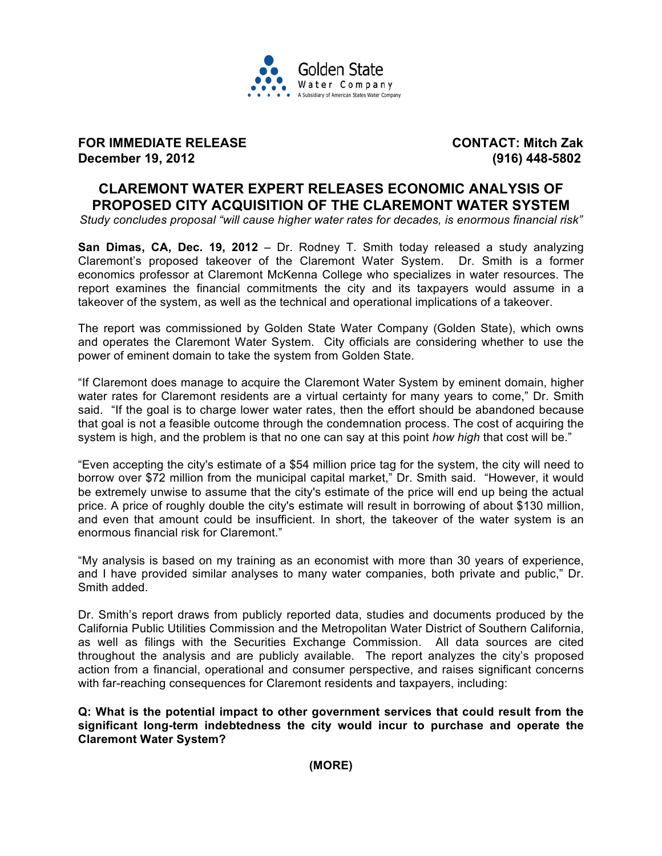

**FOR IMMEDIATE RELEASE CONTACT: Mitch Zak December 19, 2012 (916) 448-5802**

# **CLAREMONT WATER EXPERT RELEASES ECONOMIC ANALYSIS OF PROPOSED CITY ACQUISITION OF THE CLAREMONT WATER SYSTEM**

*Study concludes proposal "will cause higher water rates for decades, is enormous financial risk"* 

**San Dimas, CA, Dec. 19, 2012** – Dr. Rodney T. Smith today released a study analyzing Claremont's proposed takeover of the Claremont Water System. Dr. Smith is a former economics professor at Claremont McKenna College who specializes in water resources. The report examines the financial commitments the city and its taxpayers would assume in a takeover of the system, as well as the technical and operational implications of a takeover.

The report was commissioned by Golden State Water Company (Golden State), which owns and operates the Claremont Water System. City officials are considering whether to use the power of eminent domain to take the system from Golden State.

"If Claremont does manage to acquire the Claremont Water System by eminent domain, higher water rates for Claremont residents are a virtual certainty for many years to come," Dr. Smith said. "If the goal is to charge lower water rates, then the effort should be abandoned because that goal is not a feasible outcome through the condemnation process. The cost of acquiring the system is high, and the problem is that no one can say at this point *how high* that cost will be."

"Even accepting the city's estimate of a \$54 million price tag for the system, the city will need to borrow over \$72 million from the municipal capital market," Dr. Smith said. "However, it would be extremely unwise to assume that the city's estimate of the price will end up being the actual price. A price of roughly double the city's estimate will result in borrowing of about \$130 million, and even that amount could be insufficient. In short, the takeover of the water system is an enormous financial risk for Claremont."

"My analysis is based on my training as an economist with more than 30 years of experience, and I have provided similar analyses to many water companies, both private and public," Dr. Smith added.

Dr. Smith's report draws from publicly reported data, studies and documents produced by the California Public Utilities Commission and the Metropolitan Water District of Southern California, as well as filings with the Securities Exchange Commission. All data sources are cited throughout the analysis and are publicly available. The report analyzes the city's proposed action from a financial, operational and consumer perspective, and raises significant concerns with far-reaching consequences for Claremont residents and taxpayers, including:

**Q: What is the potential impact to other government services that could result from the significant long-term indebtedness the city would incur to purchase and operate the Claremont Water System?** 

**(MORE)**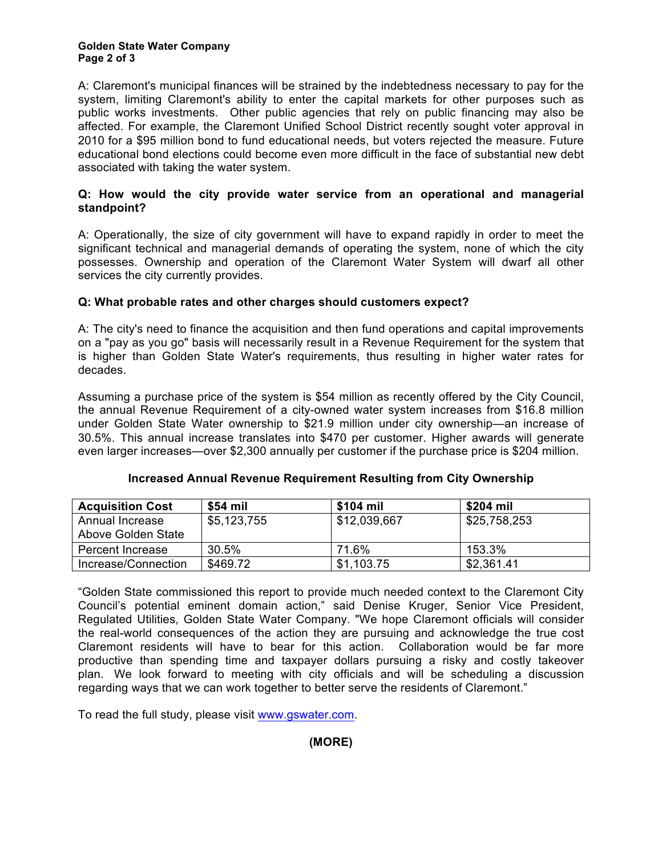#### **Golden State Water Company Page 2 of 3**

A: Claremont's municipal finances will be strained by the indebtedness necessary to pay for the system, limiting Claremont's ability to enter the capital markets for other purposes such as public works investments. Other public agencies that rely on public financing may also be affected. For example, the Claremont Unified School District recently sought voter approval in 2010 for a \$95 million bond to fund educational needs, but voters rejected the measure. Future educational bond elections could become even more difficult in the face of substantial new debt associated with taking the water system.

#### **Q: How would the city provide water service from an operational and managerial standpoint?**

A: Operationally, the size of city government will have to expand rapidly in order to meet the significant technical and managerial demands of operating the system, none of which the city possesses. Ownership and operation of the Claremont Water System will dwarf all other services the city currently provides.

## **Q: What probable rates and other charges should customers expect?**

A: The city's need to finance the acquisition and then fund operations and capital improvements on a "pay as you go" basis will necessarily result in a Revenue Requirement for the system that is higher than Golden State Water's requirements, thus resulting in higher water rates for decades.

Assuming a purchase price of the system is \$54 million as recently offered by the City Council, the annual Revenue Requirement of a city-owned water system increases from \$16.8 million under Golden State Water ownership to \$21.9 million under city ownership—an increase of 30.5%. This annual increase translates into \$470 per customer. Higher awards will generate even larger increases—over \$2,300 annually per customer if the purchase price is \$204 million.

| <b>Acquisition Cost</b>               | \$54 mil    | \$104 mil    | \$204 mil    |
|---------------------------------------|-------------|--------------|--------------|
| Annual Increase<br>Above Golden State | \$5,123,755 | \$12,039,667 | \$25,758,253 |
| Percent Increase                      | 30.5%       | 71.6%        | 153.3%       |
| Increase/Connection                   | \$469.72    | \$1,103.75   | \$2,361.41   |

## **Increased Annual Revenue Requirement Resulting from City Ownership**

"Golden State commissioned this report to provide much needed context to the Claremont City Council's potential eminent domain action," said Denise Kruger, Senior Vice President, Regulated Utilities, Golden State Water Company. "We hope Claremont officials will consider the real-world consequences of the action they are pursuing and acknowledge the true cost Claremont residents will have to bear for this action. Collaboration would be far more productive than spending time and taxpayer dollars pursuing a risky and costly takeover plan. We look forward to meeting with city officials and will be scheduling a discussion regarding ways that we can work together to better serve the residents of Claremont."

To read the full study, please visit www.gswater.com.

**(MORE)**